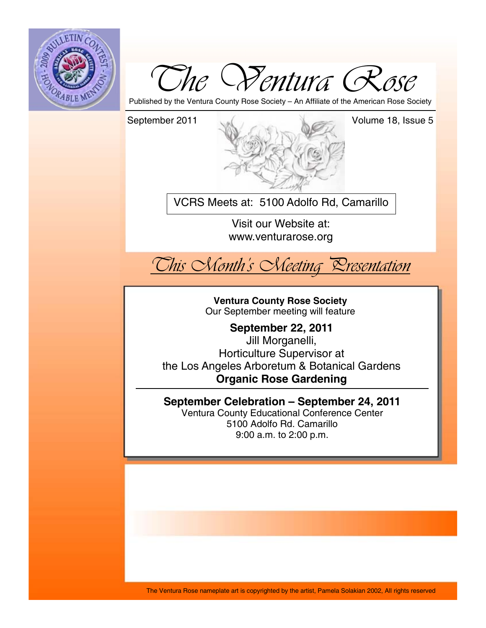



Published by the Ventura County Rose Society – An Affiliate of the American Rose Society



VCRS Meets at: 5100 Adolfo Rd, Camarillo

Visit our Website at: www.venturarose.org



**Ventura County Rose Society**  Our September meeting will feature

**September 22, 2011**  Jill Morganelli, Horticulture Supervisor at the Los Angeles Arboretum & Botanical Gardens **Organic Rose Gardening**

**September Celebration – September 24, 2011**  Ventura County Educational Conference Center 5100 Adolfo Rd. Camarillo 9:00 a.m. to 2:00 p.m.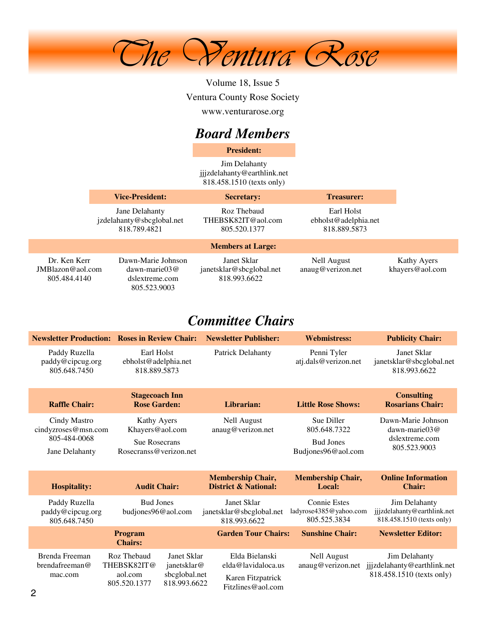

Volume 18, Issue 5 Ventura County Rose Society www.venturarose.org

## *Board Members*

**President:**

Jim Delahanty jjjzdelahanty@earthlink.net 818.458.1510 (texts only)

|                                                     | <b>Vice-President:</b>                                                         |                                                         | <b>Secretary:</b><br><b>Treasurer:</b>             |                                |
|-----------------------------------------------------|--------------------------------------------------------------------------------|---------------------------------------------------------|----------------------------------------------------|--------------------------------|
|                                                     | Jane Delahanty<br>jzdelahanty@sbcglobal.net<br>818.789.4821                    | Roz Thebaud<br>THEBSK82IT@aol.com<br>805.520.1377       | Earl Holst<br>ebholst@adelphia.net<br>818.889.5873 |                                |
|                                                     |                                                                                | <b>Members at Large:</b>                                |                                                    |                                |
| Dr. Ken Kerr<br>$JMB$ lazon@aol.com<br>805.484.4140 | Dawn-Marie Johnson<br>$dawn\text{-}marie03@$<br>dslextreme.com<br>805.523.9003 | Janet Sklar<br>janetsklar@sbcglobal.net<br>818.993.6622 | Nell August<br>anaug@verizon.net                   | Kathy Ayers<br>khayers@aol.com |

## *Committee Chairs*

|                                                                       | <b>Newsletter Production: Roses in Review Chair:</b>                                                                 | <b>Newsletter Publisher:</b>                                                   | <b>Webmistress:</b>                                                  | <b>Publicity Chair:</b>                                                   |
|-----------------------------------------------------------------------|----------------------------------------------------------------------------------------------------------------------|--------------------------------------------------------------------------------|----------------------------------------------------------------------|---------------------------------------------------------------------------|
| Paddy Ruzella<br>paddy@cipcug.org<br>805.648.7450                     | Earl Holst<br>ebholst@adelphia.net<br>818.889.5873                                                                   | <b>Patrick Delahanty</b>                                                       | Penni Tyler<br>atj.dals@verizon.net                                  | Janet Sklar<br>janetsklar@sbcglobal.net<br>818.993.6622                   |
| <b>Raffle Chair:</b>                                                  | <b>Stagecoach Inn</b><br><b>Rose Garden:</b>                                                                         | Librarian:                                                                     | <b>Little Rose Shows:</b>                                            | <b>Consulting</b><br><b>Rosarians Chair:</b>                              |
| Cindy Mastro<br>cindyzroses@msn.com<br>805-484-0068<br>Jane Delahanty | Kathy Ayers<br>Khayers@aol.com<br><b>Sue Rosecrans</b><br>Rosecranss@verizon.net                                     | <b>Nell August</b><br>anaug@verizon.net                                        | Sue Diller<br>805.648.7322<br><b>Bud Jones</b><br>Budjones96@aol.com | Dawn-Marie Johnson<br>dawn-marie $03@$<br>dslextreme.com<br>805.523.9003  |
| <b>Hospitality:</b>                                                   | <b>Audit Chair:</b>                                                                                                  | <b>Membership Chair,</b><br><b>District &amp; National:</b>                    | <b>Membership Chair,</b><br>Local:                                   | <b>Online Information</b><br><b>Chair:</b>                                |
| Paddy Ruzella<br>paddy@cipcug.org<br>805.648.7450                     | <b>Bud Jones</b><br>budjones96@aol.com                                                                               | Janet Sklar<br>janetsklar@sbcglobal.net<br>818.993.6622                        | <b>Connie Estes</b><br>ladyrose4385@yahoo.com<br>805.525.3834        | Jim Delahanty<br>jjjzdelahanty@earthlink.net<br>818.458.1510 (texts only) |
|                                                                       | Program<br><b>Chairs:</b>                                                                                            | <b>Garden Tour Chairs:</b>                                                     | <b>Sunshine Chair:</b>                                               | <b>Newsletter Editor:</b>                                                 |
| Brenda Freeman<br>brendafreeman@<br>mac.com                           | Roz Thebaud<br>Janet Sklar<br>THEBSK82IT@<br>janetsklar@<br>sbcglobal.net<br>aol.com<br>818.993.6622<br>805.520.1377 | Elda Bielanski<br>elda@lavidaloca.us<br>Karen Fitzpatrick<br>Fitzlines@aol.com | <b>Nell August</b><br>anaug@verizon.net                              | Jim Delahanty<br>jjjzdelahanty@earthlink.net<br>818.458.1510 (texts only) |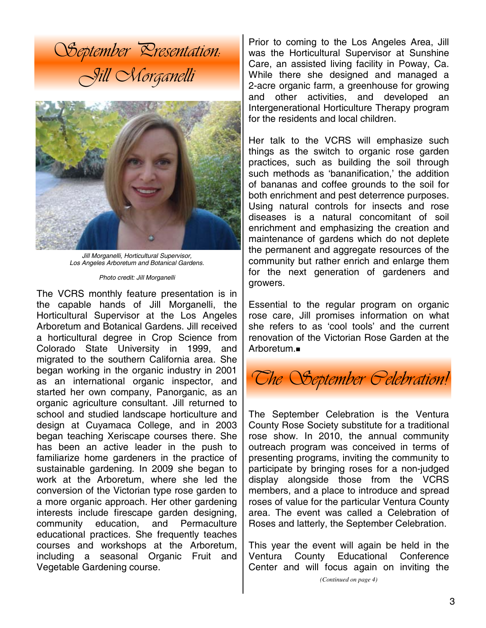



*Jill Morganelli, Horticultural Supervisor, Los Angeles Arboretum and Botanical Gardens.* 

*Photo credit: Jill Morganelli* 

The VCRS monthly feature presentation is in the capable hands of Jill Morganelli, the Horticultural Supervisor at the Los Angeles Arboretum and Botanical Gardens. Jill received a horticultural degree in Crop Science from Colorado State University in 1999, and migrated to the southern California area. She began working in the organic industry in 2001 as an international organic inspector, and started her own company, Panorganic, as an organic agriculture consultant. Jill returned to school and studied landscape horticulture and design at Cuyamaca College, and in 2003 began teaching Xeriscape courses there. She has been an active leader in the push to familiarize home gardeners in the practice of sustainable gardening. In 2009 she began to work at the Arboretum, where she led the conversion of the Victorian type rose garden to a more organic approach. Her other gardening interests include firescape garden designing, community education, and Permaculture educational practices. She frequently teaches courses and workshops at the Arboretum, including a seasonal Organic Fruit and Vegetable Gardening course.

Prior to coming to the Los Angeles Area, Jill was the Horticultural Supervisor at Sunshine Care, an assisted living facility in Poway, Ca. While there she designed and managed a 2-acre organic farm, a greenhouse for growing and other activities, and developed an Intergenerational Horticulture Therapy program for the residents and local children.

Her talk to the VCRS will emphasize such things as the switch to organic rose garden practices, such as building the soil through such methods as 'bananification,' the addition of bananas and coffee grounds to the soil for both enrichment and pest deterrence purposes. Using natural controls for insects and rose diseases is a natural concomitant of soil enrichment and emphasizing the creation and maintenance of gardens which do not deplete the permanent and aggregate resources of the community but rather enrich and enlarge them for the next generation of gardeners and growers.

Essential to the regular program on organic rose care, Jill promises information on what she refers to as 'cool tools' and the current renovation of the Victorian Rose Garden at the Arboretum.



The September Celebration is the Ventura County Rose Society substitute for a traditional rose show. In 2010, the annual community outreach program was conceived in terms of presenting programs, inviting the community to participate by bringing roses for a non-judged display alongside those from the VCRS members, and a place to introduce and spread roses of value for the particular Ventura County area. The event was called a Celebration of Roses and latterly, the September Celebration.

This year the event will again be held in the Ventura County Educational Conference Center and will focus again on inviting the

*<sup>(</sup>Continued on page 4)*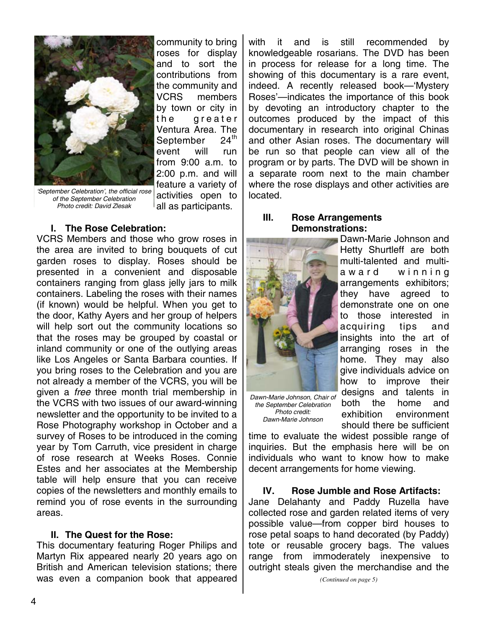

community to bring roses for display and to sort the contributions from the community and VCRS members by town or city in the greater Ventura Area. The<br>September 24<sup>th</sup> September event will run from 9:00 a.m. to 2:00 p.m. and will feature a variety of activities open to all as participants.

*'September Celebration', the official rose of the September Celebration Photo credit: David Zlesak* 

#### **I. The Rose Celebration:**

VCRS Members and those who grow roses in the area are invited to bring bouquets of cut garden roses to display. Roses should be presented in a convenient and disposable containers ranging from glass jelly jars to milk containers. Labeling the roses with their names (if known) would be helpful. When you get to the door, Kathy Ayers and her group of helpers will help sort out the community locations so that the roses may be grouped by coastal or inland community or one of the outlying areas like Los Angeles or Santa Barbara counties. If you bring roses to the Celebration and you are not already a member of the VCRS, you will be given a *free* three month trial membership in the VCRS with two issues of our award-winning newsletter and the opportunity to be invited to a Rose Photography workshop in October and a survey of Roses to be introduced in the coming year by Tom Carruth, vice president in charge of rose research at Weeks Roses. Connie Estes and her associates at the Membership table will help ensure that you can receive copies of the newsletters and monthly emails to remind you of rose events in the surrounding areas.

#### **II. The Quest for the Rose:**

This documentary featuring Roger Philips and Martyn Rix appeared nearly 20 years ago on British and American television stations; there was even a companion book that appeared with it and is still recommended by knowledgeable rosarians. The DVD has been in process for release for a long time. The showing of this documentary is a rare event, indeed. A recently released book—'Mystery Roses'—indicates the importance of this book by devoting an introductory chapter to the outcomes produced by the impact of this documentary in research into original Chinas and other Asian roses. The documentary will be run so that people can view all of the program or by parts. The DVD will be shown in a separate room next to the main chamber where the rose displays and other activities are located.

#### **III. Rose Arrangements Demonstrations:**



*Dawn-Marie Johnson, Chair of the September Celebration Photo credit: Dawn-Marie Johnson* 

Dawn-Marie Johnson and Hetty Shurtleff are both multi-talented and multia w a r d w in n in q arrangements exhibitors; they have agreed to demonstrate one on one to those interested in acquiring tips and insights into the art of arranging roses in the home. They may also give individuals advice on how to improve their designs and talents in both the home and exhibition environment should there be sufficient

time to evaluate the widest possible range of inquiries. But the emphasis here will be on individuals who want to know how to make decent arrangements for home viewing.

**IV. Rose Jumble and Rose Artifacts:**  Jane Delahanty and Paddy Ruzella have collected rose and garden related items of very possible value—from copper bird houses to rose petal soaps to hand decorated (by Paddy) tote or reusable grocery bags. The values range from immoderately inexpensive to outright steals given the merchandise and the

*(Continued on page 5)*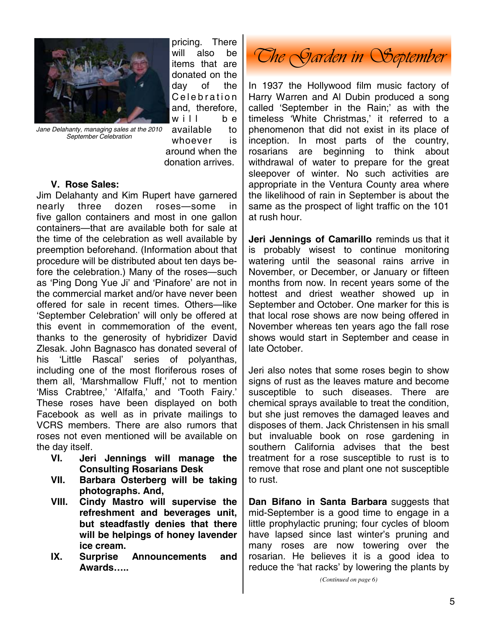

*Jane Delahanty, managing sales at the 2010 September Celebration* 

pricing. There will also be items that are donated on the day of the C e lebration and, therefore,  $will$  be available to whoever is around when the donation arrives.

#### **V. Rose Sales:**

Jim Delahanty and Kim Rupert have garnered nearly three dozen roses—some in five gallon containers and most in one gallon containers—that are available both for sale at the time of the celebration as well available by preemption beforehand. (Information about that procedure will be distributed about ten days before the celebration.) Many of the roses—such as 'Ping Dong Yue Ji' and 'Pinafore' are not in the commercial market and/or have never been offered for sale in recent times. Others—like 'September Celebration' will only be offered at this event in commemoration of the event, thanks to the generosity of hybridizer David Zlesak. John Bagnasco has donated several of his 'Little Rascal' series of polyanthas, including one of the most floriferous roses of them all, 'Marshmallow Fluff,' not to mention 'Miss Crabtree,' 'Alfalfa,' and 'Tooth Fairy.' These roses have been displayed on both Facebook as well as in private mailings to VCRS members. There are also rumors that roses not even mentioned will be available on the day itself.

- **VI. Jeri Jennings will manage the Consulting Rosarians Desk**
- **VII. Barbara Osterberg will be taking photographs. And,**
- **VIII. Cindy Mastro will supervise the refreshment and beverages unit, but steadfastly denies that there will be helpings of honey lavender ice cream.**
- **IX. Surprise Announcements and Awards…..**

*The Garden in September* 

In 1937 the Hollywood film music factory of Harry Warren and Al Dubin produced a song called 'September in the Rain;' as with the timeless 'White Christmas,' it referred to a phenomenon that did not exist in its place of inception. In most parts of the country, rosarians are beginning to think about withdrawal of water to prepare for the great sleepover of winter. No such activities are appropriate in the Ventura County area where the likelihood of rain in September is about the same as the prospect of light traffic on the 101 at rush hour.

**Jeri Jennings of Camarillo** reminds us that it is probably wisest to continue monitoring watering until the seasonal rains arrive in November, or December, or January or fifteen months from now. In recent years some of the hottest and driest weather showed up in September and October. One marker for this is that local rose shows are now being offered in November whereas ten years ago the fall rose shows would start in September and cease in late October.

Jeri also notes that some roses begin to show signs of rust as the leaves mature and become susceptible to such diseases. There are chemical sprays available to treat the condition, but she just removes the damaged leaves and disposes of them. Jack Christensen in his small but invaluable book on rose gardening in southern California advises that the best treatment for a rose susceptible to rust is to remove that rose and plant one not susceptible to rust.

**Dan Bifano in Santa Barbara** suggests that mid-September is a good time to engage in a little prophylactic pruning; four cycles of bloom have lapsed since last winter's pruning and many roses are now towering over the rosarian. He believes it is a good idea to reduce the 'hat racks' by lowering the plants by

*(Continued on page 6)*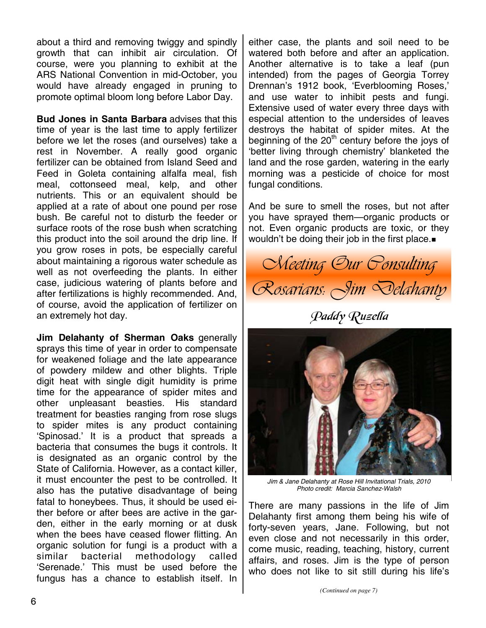about a third and removing twiggy and spindly growth that can inhibit air circulation. Of course, were you planning to exhibit at the ARS National Convention in mid-October, you would have already engaged in pruning to promote optimal bloom long before Labor Day.

**Bud Jones in Santa Barbara** advises that this time of year is the last time to apply fertilizer before we let the roses (and ourselves) take a rest in November. A really good organic fertilizer can be obtained from Island Seed and Feed in Goleta containing alfalfa meal, fish meal, cottonseed meal, kelp, and other nutrients. This or an equivalent should be applied at a rate of about one pound per rose bush. Be careful not to disturb the feeder or surface roots of the rose bush when scratching this product into the soil around the drip line. If you grow roses in pots, be especially careful about maintaining a rigorous water schedule as well as not overfeeding the plants. In either case, judicious watering of plants before and after fertilizations is highly recommended. And, of course, avoid the application of fertilizer on an extremely hot day.

**Jim Delahanty of Sherman Oaks** generally sprays this time of year in order to compensate for weakened foliage and the late appearance of powdery mildew and other blights. Triple digit heat with single digit humidity is prime time for the appearance of spider mites and other unpleasant beasties. His standard treatment for beasties ranging from rose slugs to spider mites is any product containing 'Spinosad.' It is a product that spreads a bacteria that consumes the bugs it controls. It is designated as an organic control by the State of California. However, as a contact killer, it must encounter the pest to be controlled. It also has the putative disadvantage of being fatal to honeybees. Thus, it should be used either before or after bees are active in the garden, either in the early morning or at dusk when the bees have ceased flower flitting. An organic solution for fungi is a product with a similar bacterial methodology called 'Serenade.' This must be used before the fungus has a chance to establish itself. In

either case, the plants and soil need to be watered both before and after an application. Another alternative is to take a leaf (pun intended) from the pages of Georgia Torrey Drennan's 1912 book, 'Everblooming Roses,' and use water to inhibit pests and fungi. Extensive used of water every three days with especial attention to the undersides of leaves destroys the habitat of spider mites. At the beginning of the  $20<sup>th</sup>$  century before the joys of 'better living through chemistry' blanketed the land and the rose garden, watering in the early morning was a pesticide of choice for most fungal conditions.

And be sure to smell the roses, but not after you have sprayed them—organic products or not. Even organic products are toxic, or they wouldn't be doing their job in the first place.



Paddy Ruzella



*Jim & Jane Delahanty at Rose Hill Invitational Trials, 2010 Photo credit: Marcia Sanchez-Walsh* 

There are many passions in the life of Jim Delahanty first among them being his wife of forty-seven years, Jane. Following, but not even close and not necessarily in this order, come music, reading, teaching, history, current affairs, and roses. Jim is the type of person who does not like to sit still during his life's

*(Continued on page 7)*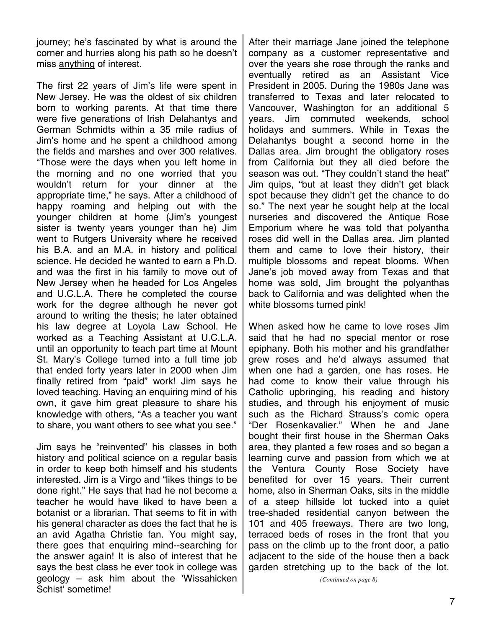journey; he's fascinated by what is around the corner and hurries along his path so he doesn't miss anything of interest.

The first 22 years of Jim's life were spent in New Jersey. He was the oldest of six children born to working parents. At that time there were five generations of Irish Delahantys and German Schmidts within a 35 mile radius of Jim's home and he spent a childhood among the fields and marshes and over 300 relatives. "Those were the days when you left home in the morning and no one worried that you wouldn't return for your dinner at the appropriate time," he says. After a childhood of happy roaming and helping out with the younger children at home (Jim's youngest sister is twenty years younger than he) Jim went to Rutgers University where he received his B.A. and an M.A. in history and political science. He decided he wanted to earn a Ph.D. and was the first in his family to move out of New Jersey when he headed for Los Angeles and U.C.L.A. There he completed the course work for the degree although he never got around to writing the thesis; he later obtained his law degree at Loyola Law School. He worked as a Teaching Assistant at U.C.L.A. until an opportunity to teach part time at Mount St. Mary's College turned into a full time job that ended forty years later in 2000 when Jim finally retired from "paid" work! Jim says he loved teaching. Having an enquiring mind of his own, it gave him great pleasure to share his knowledge with others, "As a teacher you want to share, you want others to see what you see."

Jim says he "reinvented" his classes in both history and political science on a regular basis in order to keep both himself and his students interested. Jim is a Virgo and "likes things to be done right." He says that had he not become a teacher he would have liked to have been a botanist or a librarian. That seems to fit in with his general character as does the fact that he is an avid Agatha Christie fan. You might say, there goes that enquiring mind--searching for the answer again! It is also of interest that he says the best class he ever took in college was geology – ask him about the 'Wissahicken Schist' sometime!

After their marriage Jane joined the telephone company as a customer representative and over the years she rose through the ranks and eventually retired as an Assistant Vice President in 2005. During the 1980s Jane was transferred to Texas and later relocated to Vancouver, Washington for an additional 5 years. Jim commuted weekends, school holidays and summers. While in Texas the Delahantys bought a second home in the Dallas area. Jim brought the obligatory roses from California but they all died before the season was out. "They couldn't stand the heat" Jim quips, "but at least they didn't get black spot because they didn't get the chance to do so." The next year he sought help at the local nurseries and discovered the Antique Rose Emporium where he was told that polyantha roses did well in the Dallas area. Jim planted them and came to love their history, their multiple blossoms and repeat blooms. When Jane's job moved away from Texas and that home was sold, Jim brought the polyanthas back to California and was delighted when the white blossoms turned pink!

When asked how he came to love roses Jim said that he had no special mentor or rose epiphany. Both his mother and his grandfather grew roses and he'd always assumed that when one had a garden, one has roses. He had come to know their value through his Catholic upbringing, his reading and history studies, and through his enjoyment of music such as the Richard Strauss's comic opera "Der Rosenkavalier." When he and Jane bought their first house in the Sherman Oaks area, they planted a few roses and so began a learning curve and passion from which we at the Ventura County Rose Society have benefited for over 15 years. Their current home, also in Sherman Oaks, sits in the middle of a steep hillside lot tucked into a quiet tree-shaded residential canyon between the 101 and 405 freeways. There are two long, terraced beds of roses in the front that you pass on the climb up to the front door, a patio adjacent to the side of the house then a back garden stretching up to the back of the lot.

*(Continued on page 8)*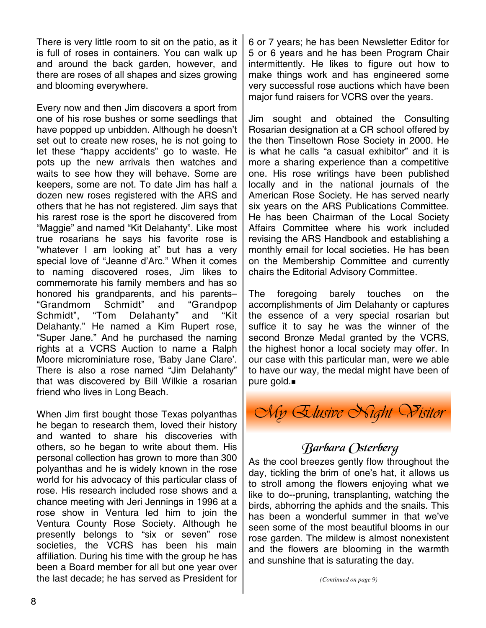There is very little room to sit on the patio, as it is full of roses in containers. You can walk up and around the back garden, however, and there are roses of all shapes and sizes growing and blooming everywhere.

Every now and then Jim discovers a sport from one of his rose bushes or some seedlings that have popped up unbidden. Although he doesn't set out to create new roses, he is not going to let these "happy accidents" go to waste. He pots up the new arrivals then watches and waits to see how they will behave. Some are keepers, some are not. To date Jim has half a dozen new roses registered with the ARS and others that he has not registered. Jim says that his rarest rose is the sport he discovered from "Maggie" and named "Kit Delahanty". Like most true rosarians he says his favorite rose is "whatever I am looking at" but has a very special love of "Jeanne d'Arc." When it comes to naming discovered roses, Jim likes to commemorate his family members and has so honored his grandparents, and his parents– "Grandmom Schmidt" and "Grandpop Schmidt", "Tom Delahanty" and "Kit Delahanty." He named a Kim Rupert rose, "Super Jane." And he purchased the naming rights at a VCRS Auction to name a Ralph Moore microminiature rose, 'Baby Jane Clare'. There is also a rose named "Jim Delahanty" that was discovered by Bill Wilkie a rosarian friend who lives in Long Beach.

When Jim first bought those Texas polyanthas he began to research them, loved their history and wanted to share his discoveries with others, so he began to write about them. His personal collection has grown to more than 300 polyanthas and he is widely known in the rose world for his advocacy of this particular class of rose. His research included rose shows and a chance meeting with Jeri Jennings in 1996 at a rose show in Ventura led him to join the Ventura County Rose Society. Although he presently belongs to "six or seven" rose societies, the VCRS has been his main affiliation. During his time with the group he has been a Board member for all but one year over the last decade; he has served as President for

6 or 7 years; he has been Newsletter Editor for 5 or 6 years and he has been Program Chair intermittently. He likes to figure out how to make things work and has engineered some very successful rose auctions which have been major fund raisers for VCRS over the years.

Jim sought and obtained the Consulting Rosarian designation at a CR school offered by the then Tinseltown Rose Society in 2000. He is what he calls "a casual exhibitor" and it is more a sharing experience than a competitive one. His rose writings have been published locally and in the national journals of the American Rose Society. He has served nearly six years on the ARS Publications Committee. He has been Chairman of the Local Society Affairs Committee where his work included revising the ARS Handbook and establishing a monthly email for local societies. He has been on the Membership Committee and currently chairs the Editorial Advisory Committee.

The foregoing barely touches on the accomplishments of Jim Delahanty or captures the essence of a very special rosarian but suffice it to say he was the winner of the second Bronze Medal granted by the VCRS, the highest honor a local society may offer. In our case with this particular man, were we able to have our way, the medal might have been of pure gold.



## Barbara Osterberg

As the cool breezes gently flow throughout the day, tickling the brim of one's hat, it allows us to stroll among the flowers enjoying what we like to do--pruning, transplanting, watching the birds, abhorring the aphids and the snails. This has been a wonderful summer in that we've seen some of the most beautiful blooms in our rose garden. The mildew is almost nonexistent and the flowers are blooming in the warmth and sunshine that is saturating the day.

*(Continued on page 9)*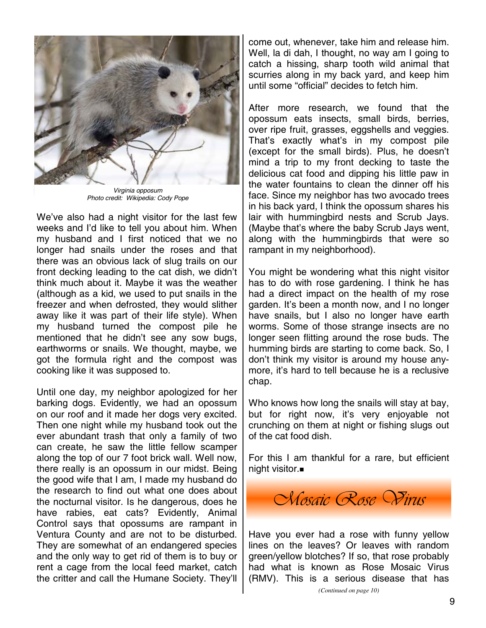

*Virginia opposum Photo credit: Wikipedia: Cody Pope* 

We've also had a night visitor for the last few weeks and I'd like to tell you about him. When my husband and I first noticed that we no longer had snails under the roses and that there was an obvious lack of slug trails on our front decking leading to the cat dish, we didn't think much about it. Maybe it was the weather (although as a kid, we used to put snails in the freezer and when defrosted, they would slither away like it was part of their life style). When my husband turned the compost pile he mentioned that he didn't see any sow bugs, earthworms or snails. We thought, maybe, we got the formula right and the compost was cooking like it was supposed to.

Until one day, my neighbor apologized for her barking dogs. Evidently, we had an opossum on our roof and it made her dogs very excited. Then one night while my husband took out the ever abundant trash that only a family of two can create, he saw the little fellow scamper along the top of our 7 foot brick wall. Well now, there really is an opossum in our midst. Being the good wife that I am, I made my husband do the research to find out what one does about the nocturnal visitor. Is he dangerous, does he have rabies, eat cats? Evidently, Animal Control says that opossums are rampant in Ventura County and are not to be disturbed. They are somewhat of an endangered species and the only way to get rid of them is to buy or rent a cage from the local feed market, catch the critter and call the Humane Society. They'll

come out, whenever, take him and release him. Well, la di dah, I thought, no way am I going to catch a hissing, sharp tooth wild animal that scurries along in my back yard, and keep him until some "official" decides to fetch him.

After more research, we found that the opossum eats insects, small birds, berries, over ripe fruit, grasses, eggshells and veggies. That's exactly what's in my compost pile (except for the small birds). Plus, he doesn't mind a trip to my front decking to taste the delicious cat food and dipping his little paw in the water fountains to clean the dinner off his face. Since my neighbor has two avocado trees in his back yard, I think the opossum shares his lair with hummingbird nests and Scrub Jays. (Maybe that's where the baby Scrub Jays went, along with the hummingbirds that were so rampant in my neighborhood).

You might be wondering what this night visitor has to do with rose gardening. I think he has had a direct impact on the health of my rose garden. It's been a month now, and I no longer have snails, but I also no longer have earth worms. Some of those strange insects are no longer seen flitting around the rose buds. The humming birds are starting to come back. So, I don't think my visitor is around my house anymore, it's hard to tell because he is a reclusive chap.

Who knows how long the snails will stay at bay, but for right now, it's very enjoyable not crunching on them at night or fishing slugs out of the cat food dish.

For this I am thankful for a rare, but efficient night visitor.



Have you ever had a rose with funny yellow lines on the leaves? Or leaves with random green/yellow blotches? If so, that rose probably had what is known as Rose Mosaic Virus (RMV). This is a serious disease that has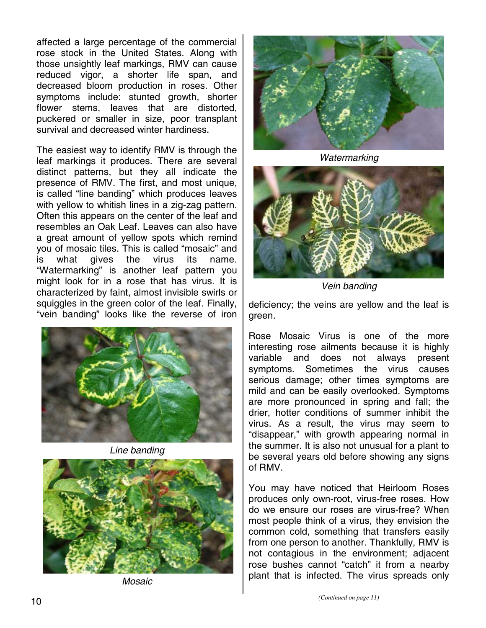affected a large percentage of the commercial rose stock in the United States. Along with those unsightly leaf markings, RMV can cause reduced vigor, a shorter life span, and decreased bloom production in roses. Other symptoms include: stunted growth, shorter flower stems, leaves that are distorted, puckered or smaller in size, poor transplant survival and decreased winter hardiness.

The easiest way to identify RMV is through the leaf markings it produces. There are several distinct patterns, but they all indicate the presence of RMV. The first, and most unique, is called "line banding" which produces leaves with yellow to whitish lines in a zig-zag pattern. Often this appears on the center of the leaf and resembles an Oak Leaf. Leaves can also have a great amount of yellow spots which remind you of mosaic tiles. This is called "mosaic" and is what gives the virus its name. "Watermarking" is another leaf pattern you might look for in a rose that has virus. It is characterized by faint, almost invisible swirls or squiggles in the green color of the leaf. Finally, "vein banding" looks like the reverse of iron



*Line banding* 



*Mosaic*



*Watermarking*



*Vein banding*

deficiency; the veins are yellow and the leaf is green.

Rose Mosaic Virus is one of the more interesting rose ailments because it is highly variable and does not always present symptoms. Sometimes the virus causes serious damage; other times symptoms are mild and can be easily overlooked. Symptoms are more pronounced in spring and fall; the drier, hotter conditions of summer inhibit the virus. As a result, the virus may seem to "disappear," with growth appearing normal in the summer. It is also not unusual for a plant to be several years old before showing any signs of RMV.

You may have noticed that Heirloom Roses produces only own-root, virus-free roses. How do we ensure our roses are virus-free? When most people think of a virus, they envision the common cold, something that transfers easily from one person to another. Thankfully, RMV is not contagious in the environment; adjacent rose bushes cannot "catch" it from a nearby plant that is infected. The virus spreads only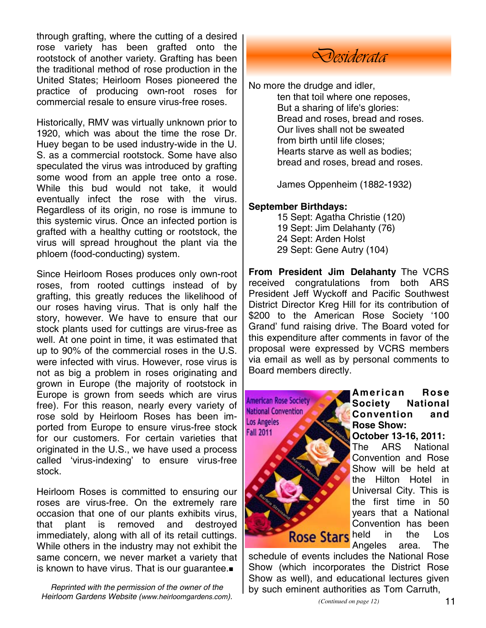through grafting, where the cutting of a desired rose variety has been grafted onto the rootstock of another variety. Grafting has been the traditional method of rose production in the United States; Heirloom Roses pioneered the practice of producing own-root roses for commercial resale to ensure virus-free roses.

Historically, RMV was virtually unknown prior to 1920, which was about the time the rose Dr. Huey began to be used industry-wide in the U. S. as a commercial rootstock. Some have also speculated the virus was introduced by grafting some wood from an apple tree onto a rose. While this bud would not take, it would eventually infect the rose with the virus. Regardless of its origin, no rose is immune to this systemic virus. Once an infected portion is grafted with a healthy cutting or rootstock, the virus will spread hroughout the plant via the phloem (food-conducting) system.

Since Heirloom Roses produces only own-root roses, from rooted cuttings instead of by grafting, this greatly reduces the likelihood of our roses having virus. That is only half the story, however. We have to ensure that our stock plants used for cuttings are virus-free as well. At one point in time, it was estimated that up to 90% of the commercial roses in the U.S. were infected with virus. However, rose virus is not as big a problem in roses originating and grown in Europe (the majority of rootstock in Europe is grown from seeds which are virus free). For this reason, nearly every variety of rose sold by Heirloom Roses has been imported from Europe to ensure virus-free stock for our customers. For certain varieties that originated in the U.S., we have used a process called 'virus-indexing' to ensure virus-free stock.

Heirloom Roses is committed to ensuring our roses are virus-free. On the extremely rare occasion that one of our plants exhibits virus, that plant is removed and destroyed immediately, along with all of its retail cuttings. While others in the industry may not exhibit the same concern, we never market a variety that is known to have virus. That is our guarantee.

*Reprinted with the permission of the owner of the Heirloom Gardens Website (www.heirloomgardens.com).* 

# *Desiderata*

No more the drudge and idler,

ten that toil where one reposes, But a sharing of life's glories: Bread and roses, bread and roses. Our lives shall not be sweated from birth until life closes; Hearts starve as well as bodies; bread and roses, bread and roses.

James Oppenheim (1882-1932)

#### **September Birthdays:**

 15 Sept: Agatha Christie (120) 19 Sept: Jim Delahanty (76) 24 Sept: Arden Holst 29 Sept: Gene Autry (104)

**From President Jim Delahanty** The VCRS received congratulations from both ARS President Jeff Wyckoff and Pacific Southwest District Director Kreg Hill for its contribution of \$200 to the American Rose Society '100 Grand' fund raising drive. The Board voted for this expenditure after comments in favor of the proposal were expressed by VCRS members via email as well as by personal comments to Board members directly.



**American Rose Society National Convention and Rose Show:** 

**October 13-16, 2011:**

The ARS National Convention and Rose Show will be held at the Hilton Hotel in Universal City. This is the first time in 50 years that a National Convention has been Rose Stars held in the Los Angeles area. The

schedule of events includes the National Rose Show (which incorporates the District Rose Show as well), and educational lectures given by such eminent authorities as Tom Carruth,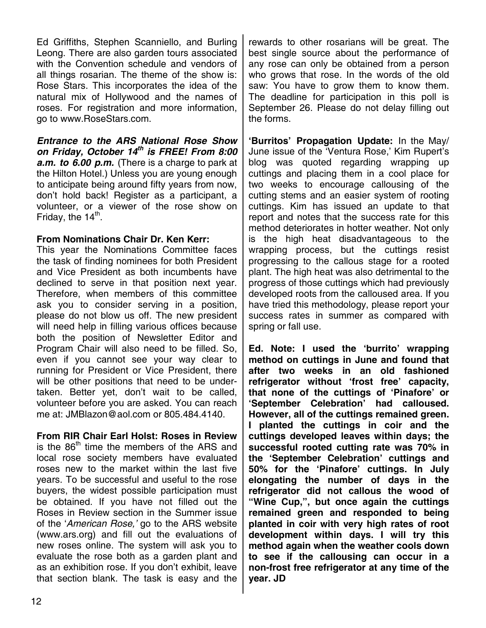Ed Griffiths, Stephen Scanniello, and Burling Leong. There are also garden tours associated with the Convention schedule and vendors of all things rosarian. The theme of the show is: Rose Stars. This incorporates the idea of the natural mix of Hollywood and the names of roses. For registration and more information, go to www.RoseStars.com.

*Entrance to the ARS National Rose Show on Friday, October 14th is FREE! From 8:00 a.m. to 6.00 p.m.* (There is a charge to park at the Hilton Hotel.) Unless you are young enough to anticipate being around fifty years from now, don't hold back! Register as a participant, a volunteer, or a viewer of the rose show on Friday, the  $14^{\text{th}}$ .

#### **From Nominations Chair Dr. Ken Kerr:**

This year the Nominations Committee faces the task of finding nominees for both President and Vice President as both incumbents have declined to serve in that position next year. Therefore, when members of this committee ask you to consider serving in a position, please do not blow us off. The new president will need help in filling various offices because both the position of Newsletter Editor and Program Chair will also need to be filled. So, even if you cannot see your way clear to running for President or Vice President, there will be other positions that need to be undertaken. Better yet, don't wait to be called, volunteer before you are asked. You can reach me at: JMBlazon@aol.com or 805.484.4140.

**From RIR Chair Earl Holst: Roses in Review** is the  $86<sup>th</sup>$  time the members of the ARS and local rose society members have evaluated roses new to the market within the last five years. To be successful and useful to the rose buyers, the widest possible participation must be obtained. If you have not filled out the Roses in Review section in the Summer issue of the '*American Rose,'* go to the ARS website (www.ars.org) and fill out the evaluations of new roses online. The system will ask you to evaluate the rose both as a garden plant and as an exhibition rose. If you don't exhibit, leave that section blank. The task is easy and the

rewards to other rosarians will be great. The best single source about the performance of any rose can only be obtained from a person who grows that rose. In the words of the old saw: You have to grow them to know them. The deadline for participation in this poll is September 26. Please do not delay filling out the forms.

**'Burritos' Propagation Update:** In the May/ June issue of the 'Ventura Rose,' Kim Rupert's blog was quoted regarding wrapping up cuttings and placing them in a cool place for two weeks to encourage callousing of the cutting stems and an easier system of rooting cuttings. Kim has issued an update to that report and notes that the success rate for this method deteriorates in hotter weather. Not only is the high heat disadvantageous to the wrapping process, but the cuttings resist progressing to the callous stage for a rooted plant. The high heat was also detrimental to the progress of those cuttings which had previously developed roots from the calloused area. If you have tried this methodology, please report your success rates in summer as compared with spring or fall use.

**Ed. Note: I used the 'burrito' wrapping method on cuttings in June and found that after two weeks in an old fashioned refrigerator without 'frost free' capacity, that none of the cuttings of 'Pinafore' or 'September Celebration' had calloused. However, all of the cuttings remained green. I planted the cuttings in coir and the cuttings developed leaves within days; the successful rooted cutting rate was 70% in the 'September Celebration' cuttings and 50% for the 'Pinafore' cuttings. In July elongating the number of days in the refrigerator did not callous the wood of "Wine Cup,", but once again the cuttings remained green and responded to being planted in coir with very high rates of root development within days. I will try this method again when the weather cools down to see if the callousing can occur in a non-frost free refrigerator at any time of the year. JD**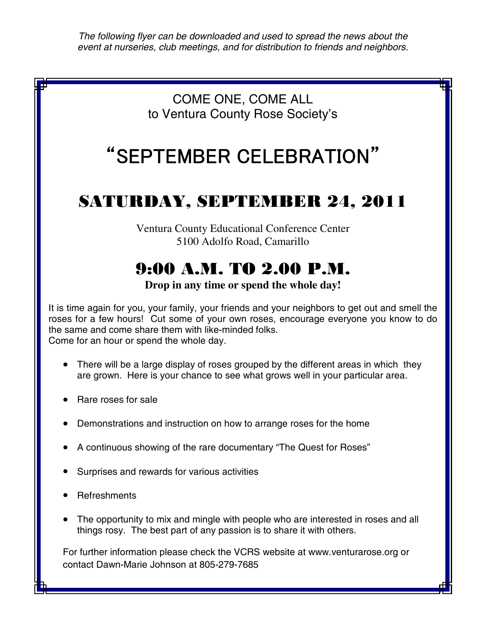*The following flyer can be downloaded and used to spread the news about the event at nurseries, club meetings, and for distribution to friends and neighbors.* 

## COME ONE, COME ALL to Ventura County Rose Society's

# "SEPTEMBER CELEBRATION"

# SATURDAY, SEPTEMBER 24, 2011

Ventura County Educational Conference Center 5100 Adolfo Road, Camarillo

# 9:00 A.M. TO 2.00 P.M.

**Drop in any time or spend the whole day!** 

It is time again for you, your family, your friends and your neighbors to get out and smell the roses for a few hours! Cut some of your own roses, encourage everyone you know to do the same and come share them with like-minded folks. Come for an hour or spend the whole day.

- There will be a large display of roses grouped by the different areas in which they are grown. Here is your chance to see what grows well in your particular area.
- Rare roses for sale
- Demonstrations and instruction on how to arrange roses for the home
- A continuous showing of the rare documentary "The Quest for Roses"
- Surprises and rewards for various activities
- **Refreshments**
- The opportunity to mix and mingle with people who are interested in roses and all things rosy. The best part of any passion is to share it with others.

For further information please check the VCRS website at www.venturarose.org or contact Dawn-Marie Johnson at 805-279-7685